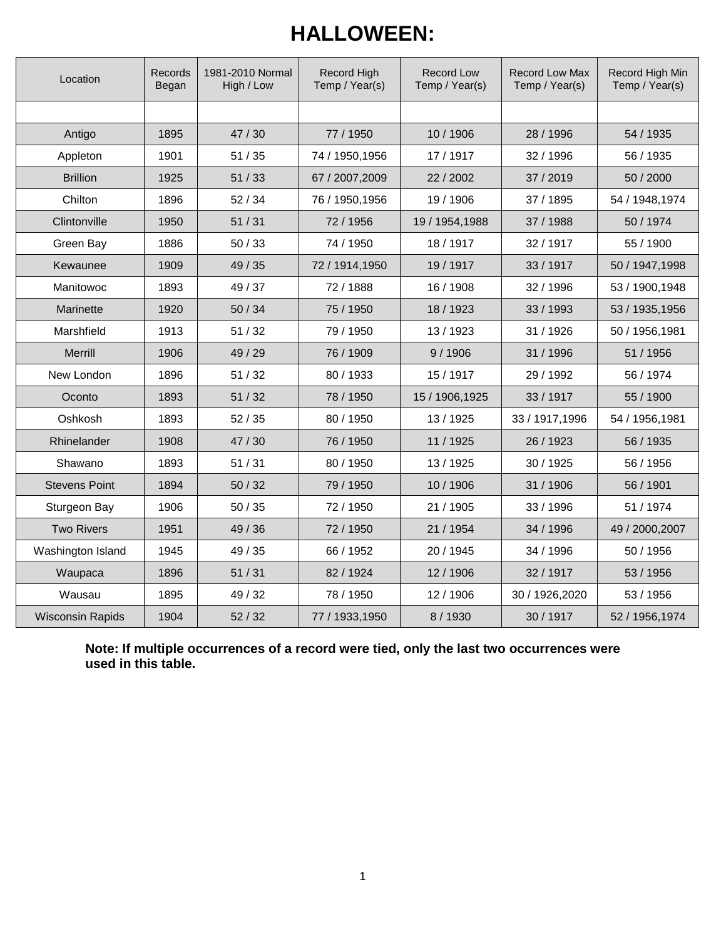## **HALLOWEEN:**

| Location                | Records<br>Began | 1981-2010 Normal<br>High / Low | Record High<br>Record Low<br>Temp / Year(s)<br>Temp / Year(s) |                 | Record Low Max<br>Temp / Year(s) | Record High Min<br>Temp / Year(s) |  |
|-------------------------|------------------|--------------------------------|---------------------------------------------------------------|-----------------|----------------------------------|-----------------------------------|--|
|                         |                  |                                |                                                               |                 |                                  |                                   |  |
| Antigo                  | 1895             | 47/30                          | 77 / 1950                                                     | 10 / 1906       | 28 / 1996                        | 54 / 1935                         |  |
| Appleton                | 1901             | 51/35                          | 74 / 1950, 1956                                               | 17 / 1917       | 32 / 1996                        | 56 / 1935                         |  |
| <b>Brillion</b>         | 1925             | 51/33                          | 67 / 2007,2009                                                | 22 / 2002       | 37 / 2019                        | 50 / 2000                         |  |
| Chilton                 | 1896             | 52/34                          | 76 / 1950, 1956                                               | 19 / 1906       | 37 / 1895                        | 54 / 1948, 1974                   |  |
| Clintonville            | 1950             | 51/31                          | 72/1956                                                       | 19 / 1954, 1988 | 37 / 1988                        | 50 / 1974                         |  |
| Green Bay               | 1886             | 50/33                          | 74 / 1950                                                     | 18 / 1917       | 32 / 1917                        | 55 / 1900                         |  |
| Kewaunee                | 1909             | 49 / 35                        | 72 / 1914, 1950                                               | 19 / 1917       | 33 / 1917                        | 50 / 1947, 1998                   |  |
| Manitowoc               | 1893             | 49 / 37                        | 72/1888                                                       | 16 / 1908       | 32 / 1996                        | 53 / 1900, 1948                   |  |
| Marinette               | 1920             | 50/34                          | 75 / 1950                                                     | 18 / 1923       | 33 / 1993                        | 53 / 1935, 1956                   |  |
| Marshfield              | 1913             | 51/32                          | 79 / 1950                                                     | 13/1923         | 31 / 1926                        | 50 / 1956, 1981                   |  |
| <b>Merrill</b>          | 1906             | 49 / 29                        | 76 / 1909                                                     | 9/1906          | 31 / 1996                        | 51 / 1956                         |  |
| New London              | 1896             | 51/32                          | 80 / 1933                                                     | 15 / 1917       | 29 / 1992                        | 56 / 1974                         |  |
| Oconto                  | 1893             | 51/32                          | 78 / 1950                                                     | 15 / 1906, 1925 | 33 / 1917                        | 55 / 1900                         |  |
| Oshkosh                 | 1893             | 52/35                          | 80 / 1950                                                     | 13/1925         | 33 / 1917, 1996                  | 54 / 1956, 1981                   |  |
| Rhinelander             | 1908             | 47/30                          | 76 / 1950                                                     | 11 / 1925       | 26 / 1923                        | 56 / 1935                         |  |
| Shawano                 | 1893             | 51/31                          | 80 / 1950                                                     | 13 / 1925       | 30 / 1925                        | 56 / 1956                         |  |
| <b>Stevens Point</b>    | 1894             | 50/32                          | 79 / 1950                                                     | 10/1906         | 31 / 1906                        | 56 / 1901                         |  |
| Sturgeon Bay            | 1906             | 50/35                          | 72/1950                                                       | 21 / 1905       | 33 / 1996                        | 51 / 1974                         |  |
| <b>Two Rivers</b>       | 1951             | 49 / 36                        | 72 / 1950                                                     | 21 / 1954       | 34 / 1996                        | 49 / 2000, 2007                   |  |
| Washington Island       | 1945             | 49 / 35                        | 66 / 1952                                                     | 20 / 1945       | 34 / 1996                        | 50 / 1956                         |  |
| Waupaca                 | 1896             | 51/31                          | 82/1924                                                       | 12 / 1906       | 32 / 1917                        | 53 / 1956                         |  |
| Wausau                  | 1895             | 49 / 32                        | 78 / 1950                                                     | 12 / 1906       | 30 / 1926,2020                   | 53 / 1956                         |  |
| <b>Wisconsin Rapids</b> | 1904             | 52/32                          | 77 / 1933, 1950                                               | 8/1930          | 30 / 1917                        | 52 / 1956, 1974                   |  |

**Note: If multiple occurrences of a record were tied, only the last two occurrences were used in this table.**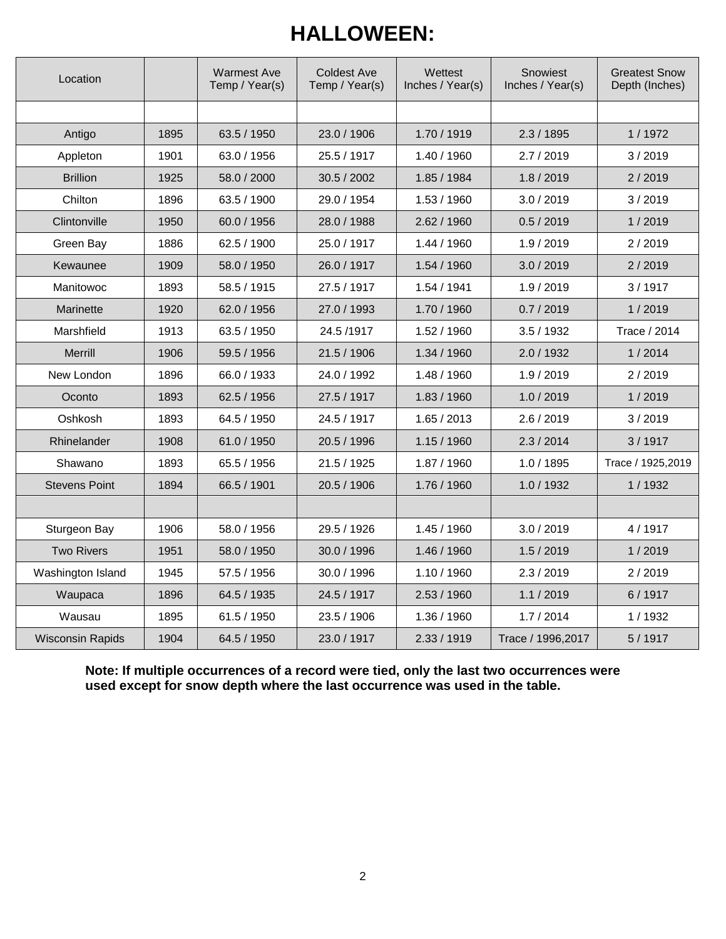## **HALLOWEEN:**

| Location                |      | <b>Warmest Ave</b><br>Temp / Year(s) | <b>Coldest Ave</b><br>Temp / Year(s) | Wettest<br>Inches / Year(s) | Snowiest<br>Inches / Year(s) | <b>Greatest Snow</b><br>Depth (Inches) |  |
|-------------------------|------|--------------------------------------|--------------------------------------|-----------------------------|------------------------------|----------------------------------------|--|
|                         |      |                                      |                                      |                             |                              |                                        |  |
| Antigo                  | 1895 | 63.5 / 1950                          | 23.0 / 1906                          | 1.70 / 1919                 | 2.3/1895                     | 1/1972                                 |  |
| Appleton                | 1901 | 63.0 / 1956                          | 25.5 / 1917                          | 1.40 / 1960                 | 2.7 / 2019                   | 3/2019                                 |  |
| <b>Brillion</b>         | 1925 | 58.0 / 2000                          | 30.5 / 2002                          | 1.85 / 1984                 | 1.8 / 2019                   | 2/2019                                 |  |
| Chilton                 | 1896 | 63.5 / 1900                          | 29.0 / 1954                          | 1.53/1960                   | 3.0 / 2019                   | 3/2019                                 |  |
| Clintonville            | 1950 | 60.0 / 1956                          | 28.0 / 1988                          | 2.62 / 1960                 | 0.5/2019                     | 1/2019                                 |  |
| Green Bay               | 1886 | 62.5 / 1900                          | 25.0 / 1917                          | 1.44 / 1960                 | 1.9 / 2019                   | 2/2019                                 |  |
| Kewaunee                | 1909 | 58.0 / 1950                          | 26.0 / 1917                          | 1.54 / 1960                 | 3.0 / 2019                   | 2/2019                                 |  |
| Manitowoc               | 1893 | 58.5 / 1915                          | 27.5 / 1917                          | 1.54 / 1941                 | 1.9 / 2019                   | 3/1917                                 |  |
| Marinette               | 1920 | 62.0 / 1956                          | 27.0 / 1993                          | 1.70 / 1960                 | 0.7 / 2019                   | 1/2019                                 |  |
| Marshfield              | 1913 | 63.5 / 1950                          | 24.5 /1917                           | 1.52 / 1960                 | 3.5/1932                     | Trace / 2014                           |  |
| Merrill                 | 1906 | 59.5 / 1956                          | 21.5 / 1906                          | 1.34 / 1960                 | 2.0 / 1932                   | 1/2014                                 |  |
| New London              | 1896 | 66.0 / 1933                          | 24.0 / 1992                          | 1.48 / 1960                 | 1.9/2019                     | 2/2019                                 |  |
| Oconto                  | 1893 | 62.5 / 1956                          | 27.5 / 1917                          | 1.83 / 1960                 | 1.0 / 2019                   | 1/2019                                 |  |
| Oshkosh                 | 1893 | 64.5 / 1950                          | 24.5 / 1917                          | 1.65 / 2013                 | 2.6 / 2019                   | 3/2019                                 |  |
| <b>Rhinelander</b>      | 1908 | 61.0 / 1950                          | 20.5 / 1996                          | 1.15/1960                   | 2.3/2014                     | 3/1917                                 |  |
| Shawano                 | 1893 | 65.5 / 1956                          | 21.5 / 1925                          | 1.87 / 1960                 | 1.0 / 1895                   | Trace / 1925,2019                      |  |
| <b>Stevens Point</b>    | 1894 | 66.5 / 1901                          | 20.5 / 1906                          | 1.76 / 1960                 | 1.0 / 1932                   | 1/1932                                 |  |
|                         |      |                                      |                                      |                             |                              |                                        |  |
| Sturgeon Bay            | 1906 | 58.0 / 1956                          | 29.5 / 1926                          | 1.45 / 1960                 | 3.0 / 2019                   | 4/1917                                 |  |
| <b>Two Rivers</b>       | 1951 | 58.0 / 1950                          | 30.0 / 1996                          | 1.46 / 1960                 | 1.5/2019                     | 1/2019                                 |  |
| Washington Island       | 1945 | 57.5 / 1956                          | 30.0 / 1996                          | 1.10 / 1960                 | 2.3 / 2019                   | 2/2019                                 |  |
| Waupaca                 | 1896 | 64.5 / 1935                          | 24.5 / 1917                          | 2.53/1960                   | 1.1 / 2019                   | 6/1917                                 |  |
| Wausau                  | 1895 | 61.5 / 1950                          | 23.5 / 1906                          | 1.36 / 1960                 | 1.7 / 2014                   | 1/1932                                 |  |
| <b>Wisconsin Rapids</b> | 1904 | 64.5 / 1950                          | 23.0 / 1917                          | 2.33 / 1919                 | Trace / 1996, 2017           | 5/1917                                 |  |

**Note: If multiple occurrences of a record were tied, only the last two occurrences were used except for snow depth where the last occurrence was used in the table.**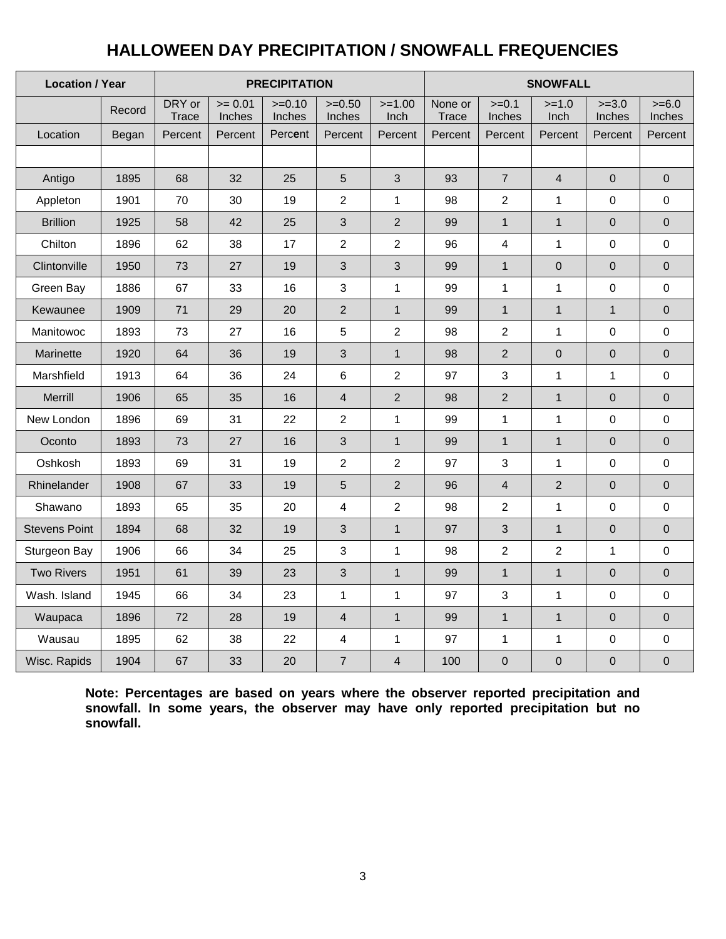## **HALLOWEEN DAY PRECIPITATION / SNOWFALL FREQUENCIES**

| <b>Location / Year</b> |        | <b>PRECIPITATION</b>   |                     |                    |                          |                  | <b>SNOWFALL</b>  |                         |                         |                     |                     |
|------------------------|--------|------------------------|---------------------|--------------------|--------------------------|------------------|------------------|-------------------------|-------------------------|---------------------|---------------------|
|                        | Record | DRY or<br><b>Trace</b> | $>= 0.01$<br>Inches | $>=0.10$<br>Inches | $>=0.50$<br>Inches       | $>=1.00$<br>Inch | None or<br>Trace | $>=0.1$<br>Inches       | $>=1.0$<br>Inch         | $>=3.0$<br>Inches   | $>= 6.0$<br>Inches  |
| Location               | Began  | Percent                | Percent             | Percent            | Percent                  | Percent          | Percent          | Percent                 | Percent                 | Percent             | Percent             |
|                        |        |                        |                     |                    |                          |                  |                  |                         |                         |                     |                     |
| Antigo                 | 1895   | 68                     | 32                  | 25                 | $\sqrt{5}$               | 3                | 93               | $\overline{7}$          | $\overline{\mathbf{4}}$ | $\pmb{0}$           | $\pmb{0}$           |
| Appleton               | 1901   | 70                     | 30                  | 19                 | $\overline{2}$           | $\mathbf 1$      | 98               | $\overline{c}$          | $\mathbf{1}$            | 0                   | 0                   |
| <b>Brillion</b>        | 1925   | 58                     | 42                  | 25                 | $\mathfrak{S}$           | $\mathbf 2$      | 99               | $\mathbf{1}$            | $\mathbf{1}$            | $\mathbf 0$         | $\overline{0}$      |
| Chilton                | 1896   | 62                     | 38                  | 17                 | $\overline{2}$           | $\overline{c}$   | 96               | $\overline{\mathbf{4}}$ | $\mathbf{1}$            | $\mathbf 0$         | $\mathbf 0$         |
| Clintonville           | 1950   | 73                     | 27                  | 19                 | $\mathfrak{S}$           | $\sqrt{3}$       | 99               | $\mathbf{1}$            | $\mathbf{0}$            | $\overline{0}$      | $\mathbf 0$         |
| Green Bay              | 1886   | 67                     | 33                  | 16                 | $\mathbf{3}$             | $\mathbf 1$      | 99               | $\mathbf{1}$            | $\mathbf{1}$            | $\mathbf 0$         | 0                   |
| Kewaunee               | 1909   | 71                     | 29                  | 20                 | $\overline{2}$           | $\mathbf{1}$     | 99               | $\mathbf{1}$            | $\mathbf{1}$            | $\mathbf{1}$        | $\mathbf 0$         |
| Manitowoc              | 1893   | 73                     | 27                  | 16                 | $\sqrt{5}$               | $\overline{c}$   | 98               | $\overline{2}$          | $\mathbf{1}$            | $\mathsf{O}\xspace$ | $\pmb{0}$           |
| Marinette              | 1920   | 64                     | 36                  | 19                 | $\mathfrak{S}$           | $\mathbf{1}$     | 98               | $\overline{2}$          | $\mathbf 0$             | $\pmb{0}$           | $\pmb{0}$           |
| Marshfield             | 1913   | 64                     | 36                  | 24                 | 6                        | $\overline{c}$   | 97               | 3                       | $\mathbf{1}$            | $\mathbf{1}$        | 0                   |
| Merrill                | 1906   | 65                     | 35                  | 16                 | $\overline{4}$           | $\overline{2}$   | 98               | $\overline{2}$          | $\mathbf{1}$            | $\mathbf 0$         | $\pmb{0}$           |
| New London             | 1896   | 69                     | 31                  | 22                 | $\overline{2}$           | $\mathbf 1$      | 99               | $\mathbf{1}$            | 1                       | $\pmb{0}$           | 0                   |
| Oconto                 | 1893   | 73                     | 27                  | 16                 | $\mathfrak{S}$           | $\mathbf{1}$     | 99               | $\mathbf{1}$            | $\mathbf{1}$            | $\mathsf{O}\xspace$ | $\mathsf{O}\xspace$ |
| Oshkosh                | 1893   | 69                     | 31                  | 19                 | $\overline{2}$           | $\overline{2}$   | 97               | 3                       | $\mathbf{1}$            | $\mathsf{O}\xspace$ | $\mathbf 0$         |
| Rhinelander            | 1908   | 67                     | 33                  | 19                 | $\sqrt{5}$               | $\mathbf 2$      | 96               | $\overline{\mathbf{4}}$ | $\sqrt{2}$              | $\pmb{0}$           | $\pmb{0}$           |
| Shawano                | 1893   | 65                     | 35                  | 20                 | $\overline{4}$           | $\overline{c}$   | 98               | $\overline{2}$          | $\mathbf{1}$            | $\mathbf 0$         | 0                   |
| <b>Stevens Point</b>   | 1894   | 68                     | 32                  | 19                 | $\mathfrak{S}$           | $\mathbf{1}$     | 97               | 3                       | $\mathbf{1}$            | $\mathbf 0$         | $\mathbf 0$         |
| Sturgeon Bay           | 1906   | 66                     | 34                  | 25                 | $\mathbf{3}$             | $\mathbf 1$      | 98               | $\overline{2}$          | $\overline{2}$          | $\mathbf{1}$        | $\pmb{0}$           |
| <b>Two Rivers</b>      | 1951   | 61                     | 39                  | 23                 | $\mathfrak{S}$           | $\mathbf{1}$     | 99               | $\mathbf{1}$            | $\mathbf{1}$            | $\mathbf 0$         | $\pmb{0}$           |
| Wash. Island           | 1945   | 66                     | 34                  | 23                 | $\mathbf{1}$             | $\mathbf{1}$     | 97               | 3                       | $\mathbf{1}$            | $\pmb{0}$           | 0                   |
| Waupaca                | 1896   | 72                     | 28                  | 19                 | $\overline{4}$           | $\mathbf{1}$     | 99               | $\mathbf{1}$            | $\mathbf{1}$            | $\pmb{0}$           | $\overline{0}$      |
| Wausau                 | 1895   | 62                     | 38                  | 22                 | $\overline{\mathcal{A}}$ | 1                | 97               | $\mathbf{1}$            | $\mathbf{1}$            | $\mathsf{O}\xspace$ | 0                   |
| Wisc. Rapids           | 1904   | 67                     | 33                  | 20                 | $\overline{7}$           | $\overline{4}$   | 100              | $\mathbf 0$             | $\mathbf 0$             | $\mathbf 0$         | $\mathbf 0$         |

**Note: Percentages are based on years where the observer reported precipitation and snowfall. In some years, the observer may have only reported precipitation but no snowfall.**